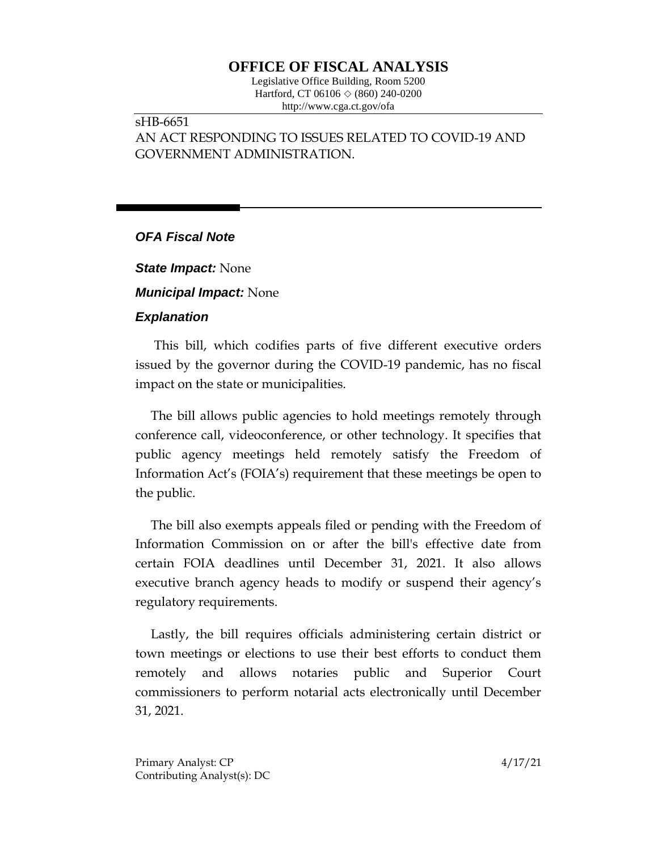## **OFFICE OF FISCAL ANALYSIS**

Legislative Office Building, Room 5200 Hartford, CT 06106 ◇ (860) 240-0200 http://www.cga.ct.gov/ofa

## sHB-6651 AN ACT RESPONDING TO ISSUES RELATED TO COVID-19 AND GOVERNMENT ADMINISTRATION.

## *OFA Fiscal Note*

*State Impact:* None

*Municipal Impact:* None

## *Explanation*

This bill, which codifies parts of five different executive orders issued by the governor during the COVID-19 pandemic, has no fiscal impact on the state or municipalities.

The bill allows public agencies to hold meetings remotely through conference call, videoconference, or other technology. It specifies that public agency meetings held remotely satisfy the Freedom of Information Act's (FOIA's) requirement that these meetings be open to the public.

The bill also exempts appeals filed or pending with the Freedom of Information Commission on or after the bill's effective date from certain FOIA deadlines until December 31, 2021. It also allows executive branch agency heads to modify or suspend their agency's regulatory requirements.

Lastly, the bill requires officials administering certain district or town meetings or elections to use their best efforts to conduct them remotely and allows notaries public and Superior Court commissioners to perform notarial acts electronically until December 31, 2021.